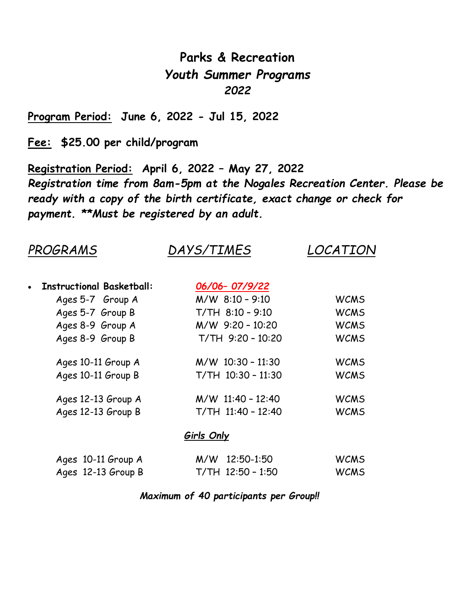# **Parks & Recreation** *Youth Summer Programs 2022*

**Program Period: June 6, 2022 - Jul 15, 2022**

**Fee: \$25.00 per child/program**

**Registration Period: April 6, 2022 – May 27, 2022** *Registration time from 8am-5pm at the Nogales Recreation Center. Please be ready with a copy of the birth certificate, exact change or check for payment. \*\*Must be registered by an adult.*

| PROGRAMS                         | <i>DAYS/TIMES</i>    | LOCATION    |  |
|----------------------------------|----------------------|-------------|--|
| <b>Instructional Basketball:</b> | 06/06-07/9/22        |             |  |
| Ages 5-7 Group A                 | $M/W$ 8:10 - 9:10    | <b>WCMS</b> |  |
| Ages 5-7 Group B                 | $T/TH$ 8:10 - 9:10   | <b>WCMS</b> |  |
| Ages 8-9 Group A                 | $M/W$ 9:20 - 10:20   | <b>WCMS</b> |  |
| Ages 8-9 Group B                 | T/TH 9:20 - 10:20    | <b>WCMS</b> |  |
| Ages 10-11 Group A               | $M/W$ 10:30 - 11:30  | <b>WCMS</b> |  |
| Ages 10-11 Group B               | T/TH 10:30 - 11:30   | <b>WCMS</b> |  |
| Ages 12-13 Group A               | $M/W$ 11:40 - 12:40  | <b>WCMS</b> |  |
| Ages 12-13 Group B               | $T/TH$ 11:40 - 12:40 | <b>WCMS</b> |  |
|                                  | <b>Girls Only</b>    |             |  |
| Ages 10-11 Group A               | 12:50-1:50<br>M/W    | <b>WCMS</b> |  |
| Ages 12-13 Group B               | $T/TH$ 12:50 - 1:50  | <b>WCMS</b> |  |

## *Maximum of 40 participants per Group!!*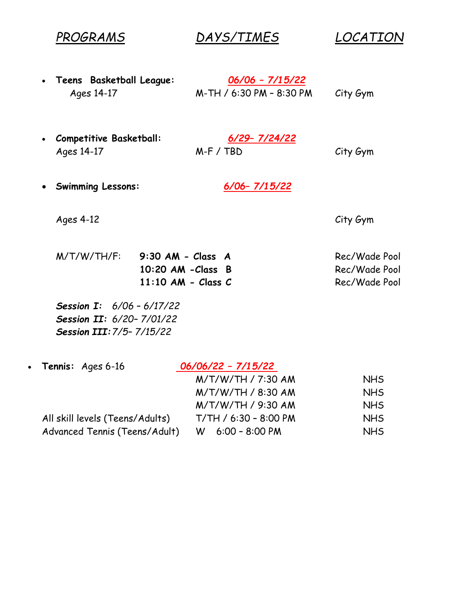*PROGRAMS DAYS/TIMES LOCATION*

**Teens Basketball League:** *06/06 – 7/15/22*

Ages 14-17 M-TH / 6:30 PM – 8:30 PM City Gym

- **Competitive Basketball:** *6/29– 7/24/22* Ages 14-17 M-F / TBD City Gym
- 

**Swimming Lessons:** *6/06– 7/15/22*

Ages 4-12 City Gym

M/T/W/TH/F: **9:30 AM - Class A** Rec/Wade Pool **10:20 AM -Class B** Rec/Wade Pool **11:10 AM - Class C** Rec/Wade Pool

*Session I: 6/06 – 6/17/22 Session II: 6/20– 7/01/22 Session III:7/5– 7/15/22*

| • Tennis: $Ages 6-16$           | 06/06/22 - 7/15/22    |            |  |
|---------------------------------|-----------------------|------------|--|
|                                 | M/T/W/TH / 7:30 AM    | <b>NHS</b> |  |
|                                 | M/T/W/TH / 8:30 AM    | <b>NHS</b> |  |
|                                 | M/T/W/TH / 9:30 AM    | <b>NHS</b> |  |
| All skill levels (Teens/Adults) | T/TH / 6:30 - 8:00 PM | <b>NHS</b> |  |
| Advanced Tennis (Teens/Adult)   | $W = 6:00 - 8:00 P M$ | <b>NHS</b> |  |